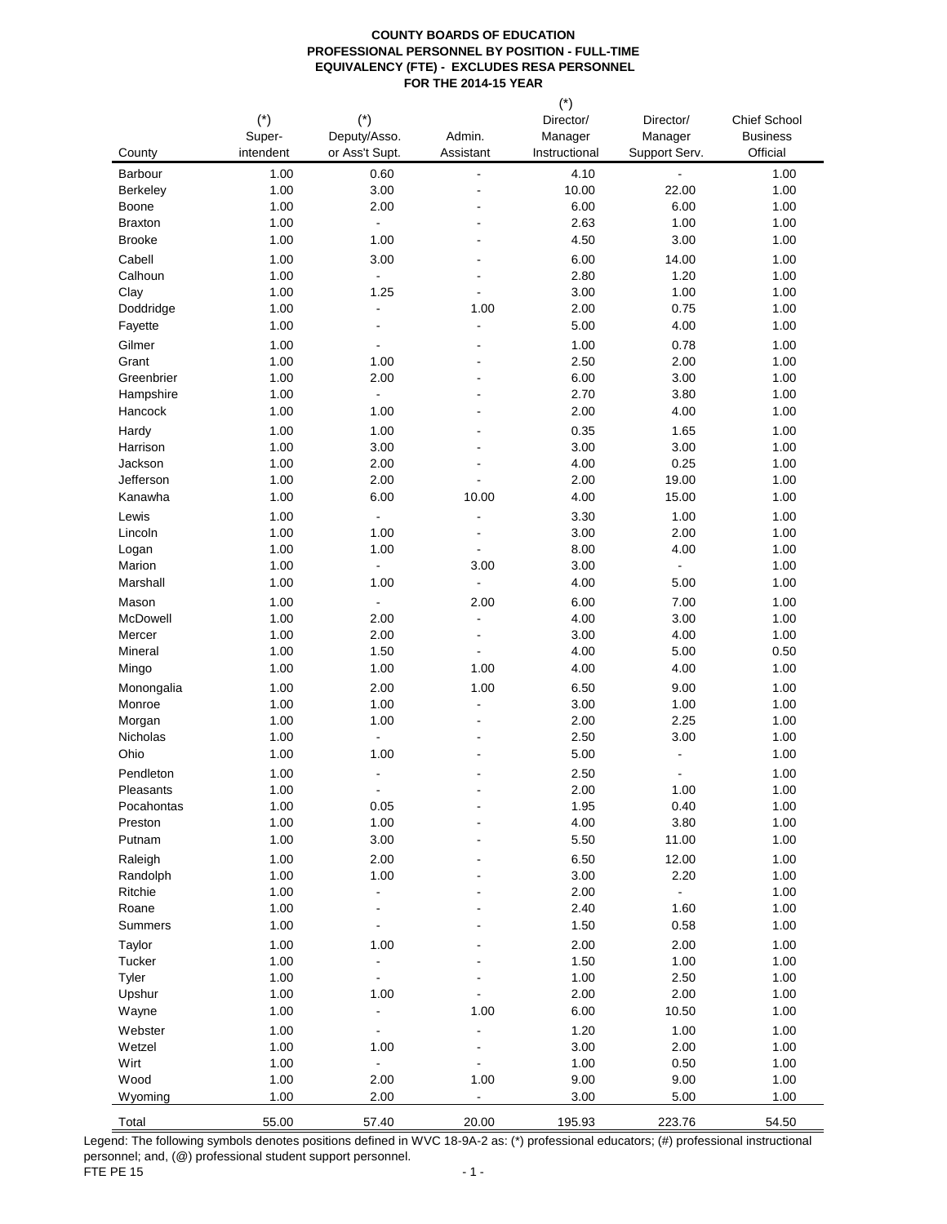|                         | $(*)$        | $(*)$                        |                                  | $\left($ )<br>Director/ | Director/                | Chief School    |
|-------------------------|--------------|------------------------------|----------------------------------|-------------------------|--------------------------|-----------------|
|                         | Super-       | Deputy/Asso.                 | Admin.                           | Manager                 | Manager                  | <b>Business</b> |
| County                  | intendent    | or Ass't Supt.               | Assistant                        | Instructional           | Support Serv.            | Official        |
| Barbour                 | 1.00         | 0.60                         | ÷                                | 4.10                    |                          | 1.00            |
| <b>Berkeley</b>         | 1.00         | 3.00                         | ٠<br>$\blacksquare$              | 10.00                   | 22.00                    | 1.00            |
| Boone<br><b>Braxton</b> | 1.00<br>1.00 | 2.00<br>$\overline{a}$       | $\blacksquare$                   | 6.00<br>2.63            | 6.00<br>1.00             | 1.00<br>1.00    |
| <b>Brooke</b>           | 1.00         | 1.00                         | $\blacksquare$                   | 4.50                    | 3.00                     | 1.00            |
| Cabell                  | 1.00         | 3.00                         |                                  | 6.00                    | 14.00                    | 1.00            |
| Calhoun                 | 1.00         | $\overline{a}$               | $\overline{\phantom{a}}$         | 2.80                    | 1.20                     | 1.00            |
| Clay                    | 1.00         | 1.25                         | ä,                               | 3.00                    | 1.00                     | 1.00            |
| Doddridge               | 1.00         | $\blacksquare$               | 1.00                             | 2.00                    | 0.75                     | 1.00            |
| Fayette                 | 1.00         | $\overline{a}$               | $\overline{\phantom{a}}$         | 5.00                    | 4.00                     | 1.00            |
| Gilmer                  | 1.00         | Ĭ.                           | ä,                               | 1.00                    | 0.78                     | 1.00            |
| Grant                   | 1.00         | 1.00                         | ä,                               | 2.50                    | 2.00                     | 1.00            |
| Greenbrier              | 1.00         | 2.00                         | $\overline{\phantom{a}}$         | 6.00                    | 3.00                     | 1.00            |
| Hampshire               | 1.00         |                              | $\blacksquare$                   | 2.70                    | 3.80                     | 1.00            |
| Hancock                 | 1.00         | 1.00                         | $\blacksquare$                   | 2.00                    | 4.00                     | 1.00            |
| Hardy<br>Harrison       | 1.00<br>1.00 | 1.00<br>3.00                 |                                  | 0.35<br>3.00            | 1.65<br>3.00             | 1.00<br>1.00    |
| Jackson                 | 1.00         | 2.00                         |                                  | 4.00                    | 0.25                     | 1.00            |
| Jefferson               | 1.00         | 2.00                         |                                  | 2.00                    | 19.00                    | 1.00            |
| Kanawha                 | 1.00         | 6.00                         | 10.00                            | 4.00                    | 15.00                    | 1.00            |
| Lewis                   | 1.00         | Ĭ.                           | $\blacksquare$                   | 3.30                    | 1.00                     | 1.00            |
| Lincoln                 | 1.00         | 1.00                         | $\overline{a}$                   | 3.00                    | 2.00                     | 1.00            |
| Logan                   | 1.00         | 1.00                         | $\overline{a}$                   | 8.00                    | 4.00                     | 1.00            |
| Marion                  | 1.00         | $\overline{a}$               | 3.00                             | 3.00                    | $\overline{a}$           | 1.00            |
| Marshall                | 1.00         | 1.00                         | $\overline{a}$                   | 4.00                    | 5.00                     | 1.00            |
| Mason                   | 1.00         | $\overline{a}$               | 2.00                             | 6.00                    | 7.00                     | 1.00            |
| McDowell                | 1.00         | 2.00                         | $\overline{a}$                   | 4.00                    | 3.00                     | 1.00            |
| Mercer<br>Mineral       | 1.00<br>1.00 | 2.00<br>1.50                 | $\blacksquare$<br>$\overline{a}$ | 3.00<br>4.00            | 4.00<br>5.00             | 1.00<br>0.50    |
| Mingo                   | 1.00         | 1.00                         | 1.00                             | 4.00                    | 4.00                     | 1.00            |
| Monongalia              | 1.00         | 2.00                         | 1.00                             | 6.50                    | 9.00                     | 1.00            |
| Monroe                  | 1.00         | 1.00                         | $\overline{\phantom{a}}$         | 3.00                    | 1.00                     | 1.00            |
| Morgan                  | 1.00         | 1.00                         | $\blacksquare$                   | 2.00                    | 2.25                     | 1.00            |
| Nicholas                | 1.00         | $\blacksquare$               | $\blacksquare$                   | 2.50                    | 3.00                     | 1.00            |
| Ohio                    | 1.00         | 1.00                         |                                  | 5.00                    | $\overline{\phantom{a}}$ | 1.00            |
| Pendleton               | 1.00         |                              |                                  | 2.50                    | $\overline{a}$           | 1.00            |
| Pleasants               | 1.00         | $\blacksquare$               | ä,                               | 2.00                    | 1.00                     | 1.00            |
| Pocahontas              | 1.00         | 0.05                         |                                  | 1.95                    | 0.40                     | 1.00            |
| Preston<br>Putnam       | 1.00<br>1.00 | 1.00<br>3.00                 |                                  | 4.00<br>5.50            | 3.80<br>11.00            | 1.00<br>1.00    |
| Raleigh                 | 1.00         | 2.00                         |                                  | 6.50                    | 12.00                    | 1.00            |
| Randolph                | 1.00         | 1.00                         |                                  | 3.00                    | 2.20                     | 1.00            |
| Ritchie                 | 1.00         | $\overline{a}$               |                                  | 2.00                    |                          | 1.00            |
| Roane                   | 1.00         | $\blacksquare$               |                                  | 2.40                    | 1.60                     | 1.00            |
| Summers                 | 1.00         | $\qquad \qquad \blacksquare$ |                                  | 1.50                    | 0.58                     | 1.00            |
| Taylor                  | 1.00         | 1.00                         |                                  | 2.00                    | 2.00                     | 1.00            |
| Tucker                  | 1.00         | $\overline{a}$               |                                  | 1.50                    | 1.00                     | 1.00            |
| Tyler                   | 1.00         | Ĭ.                           |                                  | 1.00                    | 2.50                     | 1.00            |
| Upshur                  | 1.00         | 1.00                         |                                  | 2.00                    | 2.00                     | 1.00            |
| Wayne                   | 1.00         | $\blacksquare$               | 1.00                             | 6.00                    | 10.50                    | 1.00            |
| Webster<br>Wetzel       | 1.00<br>1.00 | 1.00                         |                                  | 1.20<br>3.00            | 1.00<br>2.00             | 1.00<br>1.00    |
| Wirt                    | 1.00         | $\overline{a}$               | $\overline{\phantom{a}}$         | 1.00                    | 0.50                     | 1.00            |
| Wood                    | 1.00         | 2.00                         | 1.00                             | 9.00                    | 9.00                     | 1.00            |
| Wyoming                 | 1.00         | 2.00                         |                                  | 3.00                    | 5.00                     | 1.00            |
| Total                   | 55.00        | 57.40                        | 20.00                            | 195.93                  | 223.76                   | 54.50           |

Legend: The following symbols denotes positions defined in WVC 18-9A-2 as: (\*) professional educators; (#) professional instructional personnel; and, (@) professional student support personnel. FTE PE 15  $-1$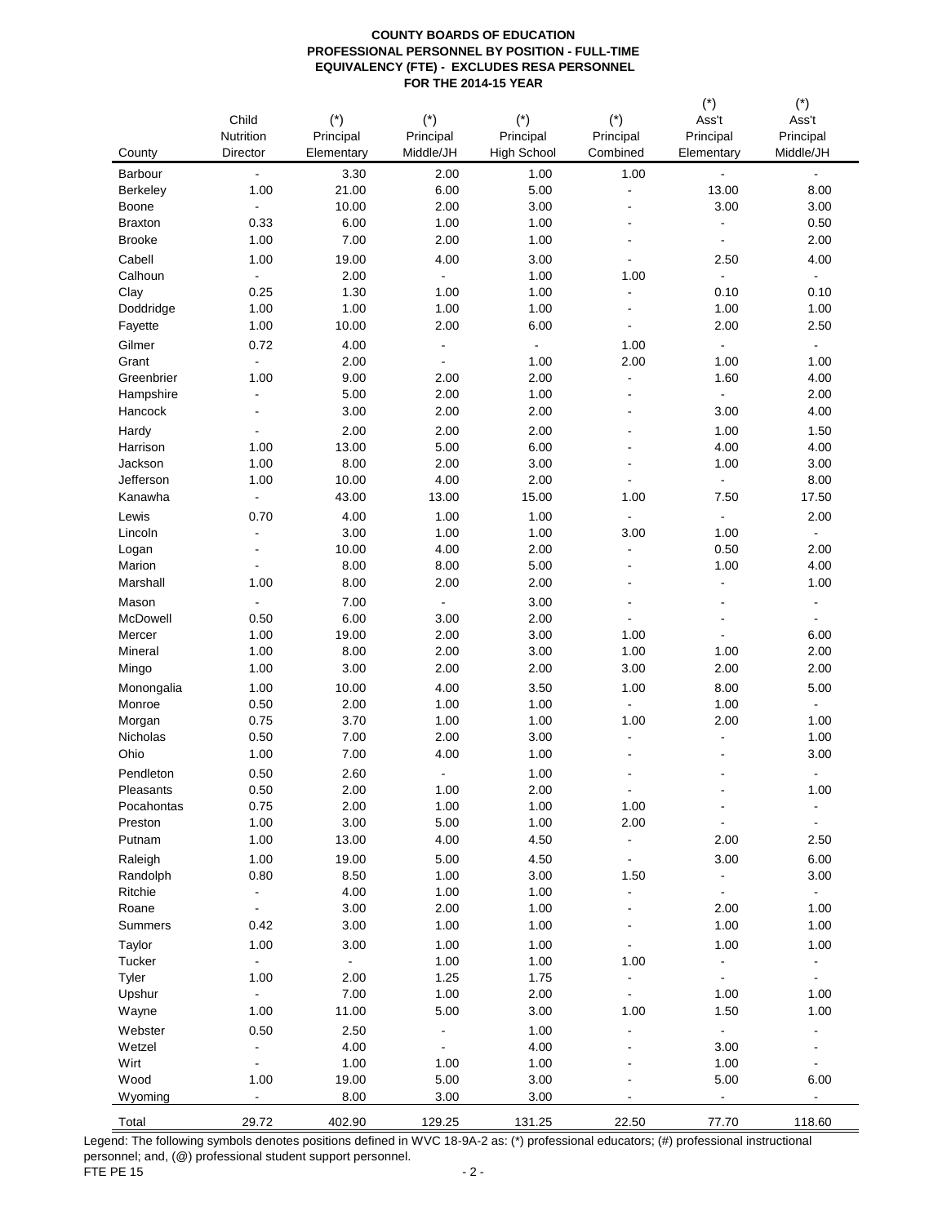|                    |                                  |               |                |                    |                                  | $(\dot{\phantom{a}})$     | $(\dot{\phantom{a}})$        |
|--------------------|----------------------------------|---------------|----------------|--------------------|----------------------------------|---------------------------|------------------------------|
|                    | Child                            | $(*)$         | $(*)$          | $(*)$              | $(*)$                            | Ass't                     | Ass't                        |
|                    | Nutrition                        | Principal     | Principal      | Principal          | Principal                        | Principal                 | Principal                    |
| County             | Director                         | Elementary    | Middle/JH      | <b>High School</b> | Combined                         | Elementary                | Middle/JH                    |
| Barbour            | $\blacksquare$                   | 3.30          | 2.00           | 1.00               | 1.00                             | $\blacksquare$            | $\blacksquare$               |
| <b>Berkeley</b>    | 1.00                             | 21.00         | 6.00           | 5.00               | ÷,                               | 13.00                     | 8.00                         |
| Boone              | $\blacksquare$                   | 10.00         | 2.00           | 3.00               | $\overline{\phantom{a}}$         | 3.00                      | 3.00                         |
| <b>Braxton</b>     | 0.33                             | 6.00          | 1.00           | 1.00               | $\overline{\phantom{a}}$         | $\blacksquare$            | 0.50                         |
| <b>Brooke</b>      | 1.00                             | 7.00          | 2.00           | 1.00               | $\overline{\phantom{a}}$         | $\blacksquare$            | 2.00                         |
| Cabell             | 1.00                             | 19.00         | 4.00           | 3.00               |                                  | 2.50                      | 4.00                         |
| Calhoun            | $\blacksquare$                   | 2.00          | $\blacksquare$ | 1.00               | 1.00                             | $\blacksquare$            | $\blacksquare$               |
| Clay               | 0.25                             | 1.30          | 1.00           | 1.00               | $\overline{a}$                   | 0.10                      | 0.10                         |
| Doddridge          | 1.00                             | 1.00          | 1.00           | 1.00               | ä,                               | 1.00                      | 1.00                         |
| Fayette            | 1.00                             | 10.00         | 2.00           | 6.00               | $\blacksquare$                   | 2.00                      | 2.50                         |
| Gilmer             | 0.72                             | 4.00          | $\blacksquare$ | $\blacksquare$     | 1.00                             | $\blacksquare$            | $\blacksquare$               |
| Grant              | $\blacksquare$                   | 2.00          | $\blacksquare$ | 1.00               | 2.00                             | 1.00                      | 1.00                         |
| Greenbrier         | 1.00                             | 9.00          | 2.00           | 2.00               | $\blacksquare$                   | 1.60                      | 4.00                         |
| Hampshire          | $\blacksquare$                   | 5.00          | 2.00           | 1.00               | $\blacksquare$                   | L.                        | 2.00                         |
| Hancock            | $\blacksquare$                   | 3.00          | 2.00           | 2.00               | $\blacksquare$                   | 3.00                      | 4.00                         |
| Hardy              | $\overline{a}$                   | 2.00          | 2.00           | 2.00               |                                  | 1.00                      | 1.50                         |
| Harrison           | 1.00                             | 13.00         | 5.00           | 6.00               | $\blacksquare$                   | 4.00                      | 4.00                         |
| Jackson            | 1.00                             | 8.00          | 2.00           | 3.00               | $\blacksquare$                   | 1.00                      | 3.00                         |
| Jefferson          | 1.00                             | 10.00         | 4.00           | 2.00               |                                  | $\blacksquare$            | 8.00                         |
| Kanawha            | $\blacksquare$                   | 43.00         | 13.00          | 15.00              | 1.00                             | 7.50                      | 17.50                        |
| Lewis              | 0.70                             | 4.00          | 1.00           | 1.00               | $\overline{\phantom{a}}$         | $\blacksquare$            | 2.00                         |
| Lincoln            | $\overline{a}$                   | 3.00          | 1.00           | 1.00               | 3.00                             | 1.00                      | $\blacksquare$               |
| Logan<br>Marion    | $\overline{a}$<br>$\blacksquare$ | 10.00<br>8.00 | 4.00<br>8.00   | 2.00<br>5.00       | $\blacksquare$<br>$\blacksquare$ | 0.50<br>1.00              | 2.00<br>4.00                 |
| Marshall           | 1.00                             | 8.00          | 2.00           | 2.00               | $\blacksquare$                   | $\overline{\phantom{a}}$  | 1.00                         |
|                    |                                  |               |                |                    |                                  |                           |                              |
| Mason              | $\blacksquare$                   | 7.00          | $\blacksquare$ | 3.00               | ä,                               | L,<br>$\blacksquare$      | $\overline{\phantom{0}}$     |
| McDowell<br>Mercer | 0.50<br>1.00                     | 6.00<br>19.00 | 3.00<br>2.00   | 2.00<br>3.00       | $\blacksquare$<br>1.00           | $\blacksquare$            | $\blacksquare$<br>6.00       |
| Mineral            | 1.00                             | 8.00          | 2.00           | 3.00               | 1.00                             | 1.00                      | 2.00                         |
| Mingo              | 1.00                             | 3.00          | 2.00           | 2.00               | 3.00                             | 2.00                      | 2.00                         |
| Monongalia         | 1.00                             | 10.00         | 4.00           | 3.50               | 1.00                             | 8.00                      | 5.00                         |
| Monroe             | 0.50                             | 2.00          | 1.00           | 1.00               | $\blacksquare$                   | 1.00                      | $\overline{a}$               |
| Morgan             | 0.75                             | 3.70          | 1.00           | 1.00               | 1.00                             | 2.00                      | 1.00                         |
| Nicholas           | 0.50                             | 7.00          | 2.00           | 3.00               | $\overline{a}$                   | $\overline{a}$            | 1.00                         |
| Ohio               | 1.00                             | 7.00          | 4.00           | 1.00               |                                  |                           | 3.00                         |
| Pendleton          | 0.50                             | 2.60          | $\blacksquare$ | 1.00               |                                  |                           | $\blacksquare$               |
| Pleasants          | 0.50                             | 2.00          | 1.00           | 2.00               |                                  |                           | 1.00                         |
| Pocahontas         | 0.75                             | 2.00          | 1.00           | 1.00               | 1.00                             | $\blacksquare$            | $\qquad \qquad \blacksquare$ |
| Preston            | 1.00                             | 3.00          | 5.00           | 1.00               | 2.00                             |                           |                              |
| Putnam             | 1.00                             | 13.00         | 4.00           | 4.50               | $\blacksquare$                   | 2.00                      | 2.50                         |
| Raleigh            | 1.00                             | 19.00         | 5.00           | 4.50               | $\blacksquare$                   | 3.00                      | 6.00                         |
| Randolph           | 0.80                             | 8.50          | 1.00           | 3.00               | 1.50                             | $\blacksquare$            | 3.00                         |
| Ritchie            | $\blacksquare$                   | 4.00          | 1.00           | 1.00               | $\blacksquare$                   | $\blacksquare$            | $\sim$                       |
| Roane              | $\blacksquare$                   | 3.00          | 2.00           | 1.00               | $\blacksquare$                   | 2.00                      | 1.00                         |
| Summers            | 0.42                             | 3.00          | 1.00           | 1.00               |                                  | 1.00                      | 1.00                         |
| Taylor             | 1.00                             | 3.00          | 1.00           | 1.00               |                                  | 1.00                      | 1.00                         |
| Tucker             | $\sim$                           | $\Box$        | 1.00           | 1.00               | 1.00                             | $\overline{\phantom{a}}$  | $\blacksquare$               |
| Tyler              | 1.00                             | 2.00          | 1.25           | 1.75               |                                  | $\blacksquare$            | $\blacksquare$               |
| Upshur             | $\blacksquare$                   | 7.00          | 1.00           | 2.00               | $\blacksquare$                   | 1.00                      | 1.00                         |
| Wayne              | 1.00                             | 11.00         | 5.00           | 3.00               | 1.00                             | 1.50                      | 1.00                         |
| Webster            | 0.50                             | 2.50          | $\overline{a}$ | 1.00               | $\blacksquare$                   | $\Box$                    |                              |
| Wetzel             | $\blacksquare$                   | 4.00          | $\overline{a}$ | 4.00               |                                  | 3.00                      |                              |
| Wirt               | $\blacksquare$                   | 1.00          | 1.00           | 1.00               |                                  | 1.00                      |                              |
| Wood               | 1.00                             | 19.00         | 5.00           | 3.00               |                                  | 5.00                      | 6.00                         |
| Wyoming            | $\omega_{\rm c}$                 | 8.00          | 3.00           | 3.00               |                                  | $\mathbb{Z}^{\mathbb{Z}}$ | ÷,                           |
| Total              | 29.72                            | 402.90        | 129.25         | 131.25             | 22.50                            | 77.70                     | 118.60                       |

Legend: The following symbols denotes positions defined in WVC 18-9A-2 as: (\*) professional educators; (#) professional instructional personnel; and, (@) professional student support personnel. FTE PE 15  $-2$  -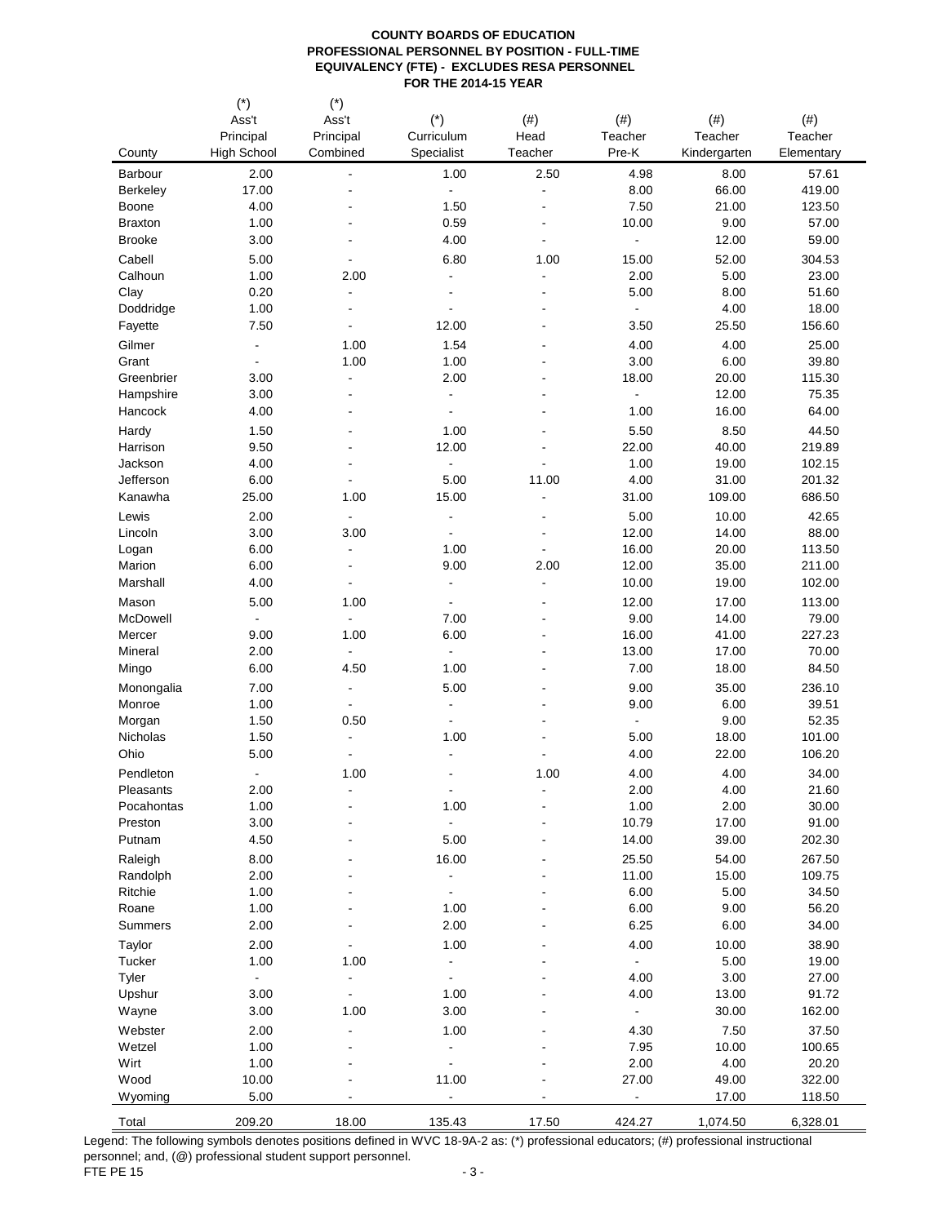|                                 | $(*)$<br>Ass't<br>Principal | $(*)$<br>Ass't<br>Principal      | $(*)$<br>Curriculum      | $(\#)$<br>Head                       | $(\#)$<br>Teacher       | $(\#)$<br>Teacher | $(\#)$<br>Teacher |
|---------------------------------|-----------------------------|----------------------------------|--------------------------|--------------------------------------|-------------------------|-------------------|-------------------|
| County                          | <b>High School</b>          | Combined                         | Specialist               | Teacher                              | Pre-K                   | Kindergarten      | Elementary        |
| Barbour                         | 2.00                        | ä,                               | 1.00                     | 2.50                                 | 4.98                    | 8.00              | 57.61             |
| <b>Berkeley</b>                 | 17.00                       | $\blacksquare$                   | $\blacksquare$           | $\overline{a}$                       | 8.00                    | 66.00             | 419.00            |
| Boone                           | 4.00                        | $\overline{\phantom{a}}$         | 1.50                     | ä,                                   | 7.50                    | 21.00             | 123.50            |
| <b>Braxton</b><br><b>Brooke</b> | 1.00<br>3.00                | ٠                                | 0.59<br>4.00             | $\qquad \qquad \blacksquare$         | 10.00<br>$\blacksquare$ | 9.00<br>12.00     | 57.00<br>59.00    |
|                                 |                             |                                  |                          |                                      |                         |                   |                   |
| Cabell<br>Calhoun               | 5.00<br>1.00                | $\overline{\phantom{a}}$<br>2.00 | 6.80<br>$\blacksquare$   | 1.00<br>$\qquad \qquad \blacksquare$ | 15.00<br>2.00           | 52.00<br>5.00     | 304.53<br>23.00   |
| Clay                            | 0.20                        | $\blacksquare$                   | $\blacksquare$           | $\blacksquare$                       | 5.00                    | 8.00              | 51.60             |
| Doddridge                       | 1.00                        | $\blacksquare$                   | $\blacksquare$           |                                      |                         | 4.00              | 18.00             |
| Fayette                         | 7.50                        | $\blacksquare$                   | 12.00                    |                                      | 3.50                    | 25.50             | 156.60            |
| Gilmer                          | $\blacksquare$              | 1.00                             | 1.54                     |                                      | 4.00                    | 4.00              | 25.00             |
| Grant                           | $\blacksquare$              | 1.00                             | 1.00                     |                                      | 3.00                    | 6.00              | 39.80             |
| Greenbrier                      | 3.00                        | $\blacksquare$                   | 2.00                     |                                      | 18.00                   | 20.00             | 115.30            |
| Hampshire                       | 3.00                        | $\blacksquare$                   | $\blacksquare$           | ٠                                    | $\Box$                  | 12.00             | 75.35             |
| Hancock                         | 4.00                        | $\overline{\phantom{a}}$         | $\blacksquare$           |                                      | 1.00                    | 16.00             | 64.00             |
| Hardy                           | 1.50                        | $\overline{\phantom{a}}$         | 1.00                     |                                      | 5.50                    | 8.50              | 44.50             |
| Harrison                        | 9.50                        | $\blacksquare$                   | 12.00                    |                                      | 22.00                   | 40.00             | 219.89            |
| Jackson                         | 4.00                        | $\overline{\phantom{a}}$         | $\overline{\phantom{a}}$ |                                      | 1.00                    | 19.00             | 102.15            |
| Jefferson                       | 6.00                        | $\blacksquare$                   | 5.00                     | 11.00                                | 4.00                    | 31.00             | 201.32            |
| Kanawha                         | 25.00                       | 1.00                             | 15.00                    |                                      | 31.00                   | 109.00            | 686.50            |
| Lewis                           | 2.00                        | $\blacksquare$                   | $\overline{\phantom{a}}$ |                                      | 5.00                    | 10.00             | 42.65             |
| Lincoln                         | 3.00                        | 3.00                             | $\blacksquare$           | $\overline{\phantom{a}}$             | 12.00                   | 14.00             | 88.00             |
| Logan                           | 6.00                        | $\blacksquare$                   | 1.00                     | $\overline{\phantom{a}}$             | 16.00                   | 20.00             | 113.50            |
| Marion                          | 6.00                        | $\overline{\phantom{a}}$         | 9.00<br>÷,               | 2.00<br>÷,                           | 12.00                   | 35.00             | 211.00            |
| Marshall                        | 4.00                        | $\blacksquare$                   |                          |                                      | 10.00                   | 19.00             | 102.00            |
| Mason                           | 5.00                        | 1.00                             |                          |                                      | 12.00                   | 17.00             | 113.00            |
| McDowell<br>Mercer              | $\blacksquare$<br>9.00      | $\blacksquare$<br>1.00           | 7.00<br>6.00             | ٠                                    | 9.00<br>16.00           | 14.00<br>41.00    | 79.00<br>227.23   |
| Mineral                         | 2.00                        | $\blacksquare$                   | $\blacksquare$           |                                      | 13.00                   | 17.00             | 70.00             |
| Mingo                           | 6.00                        | 4.50                             | 1.00                     |                                      | 7.00                    | 18.00             | 84.50             |
| Monongalia                      | 7.00                        | $\blacksquare$                   | 5.00                     |                                      | 9.00                    | 35.00             | 236.10            |
| Monroe                          | 1.00                        | $\blacksquare$                   | $\blacksquare$           |                                      | 9.00                    | 6.00              | 39.51             |
| Morgan                          | 1.50                        | 0.50                             | $\blacksquare$           |                                      | $\blacksquare$          | 9.00              | 52.35             |
| Nicholas                        | 1.50                        | $\blacksquare$                   | 1.00                     |                                      | 5.00                    | 18.00             | 101.00            |
| Ohio                            | 5.00                        | $\overline{\phantom{a}}$         | $\overline{\phantom{a}}$ |                                      | 4.00                    | 22.00             | 106.20            |
| Pendleton                       | $\blacksquare$              | 1.00                             |                          | 1.00                                 | 4.00                    | 4.00              | 34.00             |
| Pleasants                       | 2.00                        |                                  | $\blacksquare$           |                                      | 2.00                    | 4.00              | 21.60             |
| Pocahontas                      | 1.00                        |                                  | 1.00                     |                                      | 1.00                    | 2.00              | 30.00             |
| Preston                         | 3.00                        |                                  |                          |                                      | 10.79                   | 17.00             | 91.00             |
| Putnam                          | 4.50                        | $\blacksquare$                   | 5.00                     |                                      | 14.00                   | 39.00             | 202.30            |
| Raleigh                         | 8.00                        |                                  | 16.00                    |                                      | 25.50                   | 54.00             | 267.50            |
| Randolph                        | 2.00                        |                                  | $\overline{\phantom{a}}$ |                                      | 11.00                   | 15.00             | 109.75            |
| Ritchie<br>Roane                | 1.00                        |                                  | $\blacksquare$<br>1.00   |                                      | 6.00<br>6.00            | 5.00              | 34.50             |
| Summers                         | 1.00<br>2.00                |                                  | 2.00                     |                                      | 6.25                    | 9.00<br>6.00      | 56.20<br>34.00    |
| Taylor                          | 2.00                        |                                  | 1.00                     |                                      | 4.00                    | 10.00             | 38.90             |
| Tucker                          | 1.00                        | 1.00                             | $\overline{a}$           |                                      | $\blacksquare$          | 5.00              | 19.00             |
| Tyler                           | $\blacksquare$              | $\overline{\phantom{a}}$         | $\blacksquare$           |                                      | 4.00                    | 3.00              | 27.00             |
| Upshur                          | 3.00                        |                                  | 1.00                     |                                      | 4.00                    | 13.00             | 91.72             |
| Wayne                           | 3.00                        | 1.00                             | 3.00                     |                                      |                         | 30.00             | 162.00            |
| Webster                         | 2.00                        | $\overline{\phantom{a}}$         | 1.00                     |                                      | 4.30                    | 7.50              | 37.50             |
| Wetzel                          | 1.00                        | ä,                               | $\blacksquare$           |                                      | 7.95                    | 10.00             | 100.65            |
| Wirt                            | 1.00                        |                                  | $\overline{\phantom{a}}$ |                                      | 2.00                    | 4.00              | 20.20             |
| Wood                            | 10.00                       |                                  | 11.00                    |                                      | 27.00                   | 49.00             | 322.00            |
| Wyoming                         | 5.00                        |                                  |                          |                                      |                         | 17.00             | 118.50            |
| Total                           | 209.20                      | 18.00                            | 135.43                   | 17.50                                | 424.27                  | 1,074.50          | 6,328.01          |

Legend: The following symbols denotes positions defined in WVC 18-9A-2 as: (\*) professional educators; (#) professional instructional personnel; and, (@) professional student support personnel. FTE PE 15  $-3$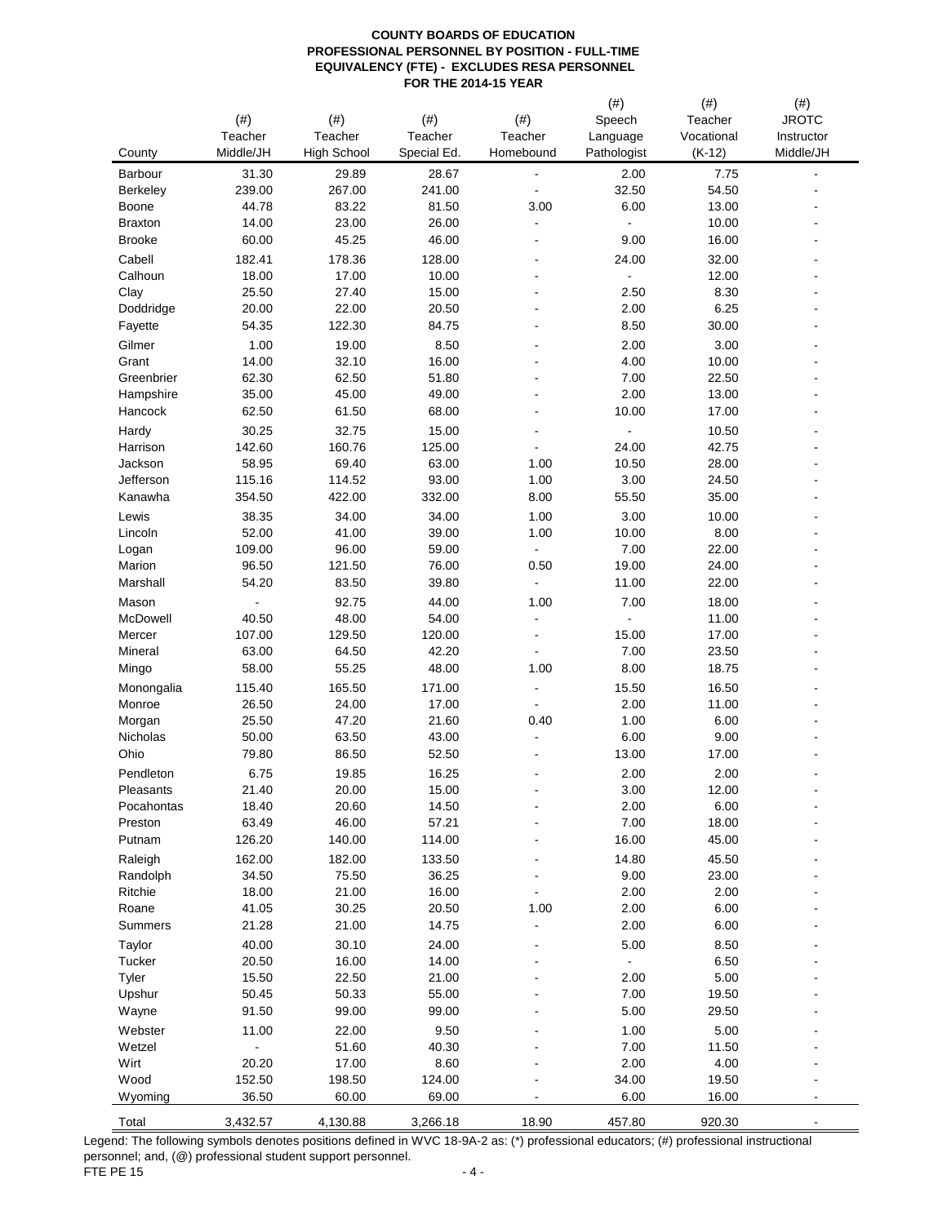|                  |                 |                               |                   |                      | $(\#)$                  | $(\#)$                 | $(\#)$                  |
|------------------|-----------------|-------------------------------|-------------------|----------------------|-------------------------|------------------------|-------------------------|
|                  | (# )<br>Teacher | $(\#)$                        | $(\#)$<br>Teacher | (# )                 | Speech                  | Teacher                | <b>JROTC</b>            |
| County           | Middle/JH       | Teacher<br><b>High School</b> | Special Ed.       | Teacher<br>Homebound | Language<br>Pathologist | Vocational<br>$(K-12)$ | Instructor<br>Middle/JH |
| Barbour          | 31.30           | 29.89                         | 28.67             | -                    | 2.00                    | 7.75                   |                         |
| <b>Berkeley</b>  | 239.00          | 267.00                        | 241.00            |                      | 32.50                   | 54.50                  |                         |
| Boone            | 44.78           | 83.22                         | 81.50             | 3.00                 | 6.00                    | 13.00                  |                         |
| <b>Braxton</b>   | 14.00           | 23.00                         | 26.00             | ٠                    |                         | 10.00                  |                         |
| <b>Brooke</b>    | 60.00           | 45.25                         | 46.00             | ٠                    | 9.00                    | 16.00                  |                         |
| Cabell           | 182.41          | 178.36                        | 128.00            |                      | 24.00                   | 32.00                  |                         |
| Calhoun          | 18.00           | 17.00                         | 10.00             | $\blacksquare$       | ÷,                      | 12.00                  |                         |
| Clay             | 25.50           | 27.40                         | 15.00             |                      | 2.50                    | 8.30                   |                         |
| Doddridge        | 20.00           | 22.00                         | 20.50             |                      | 2.00                    | 6.25                   |                         |
| Fayette          | 54.35           | 122.30                        | 84.75             |                      | 8.50                    | 30.00                  |                         |
| Gilmer<br>Grant  | 1.00<br>14.00   | 19.00<br>32.10                | 8.50<br>16.00     |                      | 2.00<br>4.00            | 3.00<br>10.00          |                         |
| Greenbrier       | 62.30           | 62.50                         | 51.80             |                      | 7.00                    | 22.50                  |                         |
| Hampshire        | 35.00           | 45.00                         | 49.00             |                      | 2.00                    | 13.00                  |                         |
| Hancock          | 62.50           | 61.50                         | 68.00             |                      | 10.00                   | 17.00                  |                         |
| Hardy            | 30.25           | 32.75                         | 15.00             |                      | ÷,                      | 10.50                  |                         |
| Harrison         | 142.60          | 160.76                        | 125.00            | $\overline{a}$       | 24.00                   | 42.75                  |                         |
| Jackson          | 58.95           | 69.40                         | 63.00             | 1.00                 | 10.50                   | 28.00                  |                         |
| Jefferson        | 115.16          | 114.52                        | 93.00             | 1.00                 | 3.00                    | 24.50                  |                         |
| Kanawha          | 354.50          | 422.00                        | 332.00            | 8.00                 | 55.50                   | 35.00                  |                         |
| Lewis            | 38.35           | 34.00                         | 34.00             | 1.00                 | 3.00                    | 10.00                  |                         |
| Lincoln          | 52.00           | 41.00                         | 39.00             | 1.00                 | 10.00                   | 8.00                   |                         |
| Logan            | 109.00          | 96.00                         | 59.00             | ÷,                   | 7.00                    | 22.00                  |                         |
| Marion           | 96.50           | 121.50                        | 76.00             | 0.50                 | 19.00                   | 24.00                  |                         |
| Marshall         | 54.20           | 83.50                         | 39.80             | ÷,                   | 11.00                   | 22.00                  |                         |
| Mason            |                 | 92.75                         | 44.00             | 1.00                 | 7.00                    | 18.00                  |                         |
| McDowell         | 40.50           | 48.00                         | 54.00             | ÷,                   |                         | 11.00                  |                         |
| Mercer           | 107.00<br>63.00 | 129.50<br>64.50               | 120.00<br>42.20   | ٠                    | 15.00<br>7.00           | 17.00<br>23.50         |                         |
| Mineral<br>Mingo | 58.00           | 55.25                         | 48.00             | 1.00                 | 8.00                    | 18.75                  |                         |
| Monongalia       | 115.40          | 165.50                        | 171.00            | $\overline{a}$       | 15.50                   | 16.50                  |                         |
| Monroe           | 26.50           | 24.00                         | 17.00             | $\blacksquare$       | 2.00                    | 11.00                  |                         |
| Morgan           | 25.50           | 47.20                         | 21.60             | 0.40                 | 1.00                    | 6.00                   |                         |
| Nicholas         | 50.00           | 63.50                         | 43.00             |                      | 6.00                    | 9.00                   |                         |
| Ohio             | 79.80           | 86.50                         | 52.50             |                      | 13.00                   | 17.00                  |                         |
| Pendleton        | 6.75            | 19.85                         | 16.25             |                      | 2.00                    | 2.00                   |                         |
| Pleasants        | 21.40           | 20.00                         | 15.00             |                      | 3.00                    | 12.00                  |                         |
| Pocahontas       | 18.40           | 20.60                         | 14.50             |                      | 2.00                    | 6.00                   |                         |
| Preston          | 63.49           | 46.00                         | 57.21             |                      | 7.00                    | 18.00                  |                         |
| Putnam           | 126.20          | 140.00                        | 114.00            |                      | 16.00                   | 45.00                  |                         |
| Raleigh          | 162.00          | 182.00                        | 133.50            |                      | 14.80                   | 45.50                  |                         |
| Randolph         | 34.50           | 75.50                         | 36.25             |                      | 9.00                    | 23.00                  |                         |
| Ritchie          | 18.00           | 21.00                         | 16.00             |                      | 2.00                    | 2.00                   |                         |
| Roane<br>Summers | 41.05<br>21.28  | 30.25<br>21.00                | 20.50<br>14.75    | 1.00<br>-            | 2.00<br>2.00            | 6.00<br>6.00           |                         |
|                  | 40.00           | 30.10                         | 24.00             |                      | 5.00                    | 8.50                   |                         |
| Taylor<br>Tucker | 20.50           | 16.00                         | 14.00             |                      | $\frac{1}{2}$           | 6.50                   |                         |
| Tyler            | 15.50           | 22.50                         | 21.00             |                      | 2.00                    | 5.00                   |                         |
| Upshur           | 50.45           | 50.33                         | 55.00             |                      | 7.00                    | 19.50                  |                         |
| Wayne            | 91.50           | 99.00                         | 99.00             |                      | 5.00                    | 29.50                  |                         |
| Webster          | 11.00           | 22.00                         | 9.50              |                      | 1.00                    | 5.00                   |                         |
| Wetzel           |                 | 51.60                         | 40.30             |                      | 7.00                    | 11.50                  |                         |
| Wirt             | 20.20           | 17.00                         | 8.60              |                      | 2.00                    | 4.00                   |                         |
| Wood             | 152.50          | 198.50                        | 124.00            |                      | 34.00                   | 19.50                  |                         |
| Wyoming          | 36.50           | 60.00                         | 69.00             |                      | 6.00                    | 16.00                  |                         |
| Total            | 3,432.57        | 4,130.88                      | 3,266.18          | 18.90                | 457.80                  | 920.30                 |                         |

Legend: The following symbols denotes positions defined in WVC 18-9A-2 as: (\*) professional educators; (#) professional instructional personnel; and, (@) professional student support personnel. FTE PE 15  $-4$  -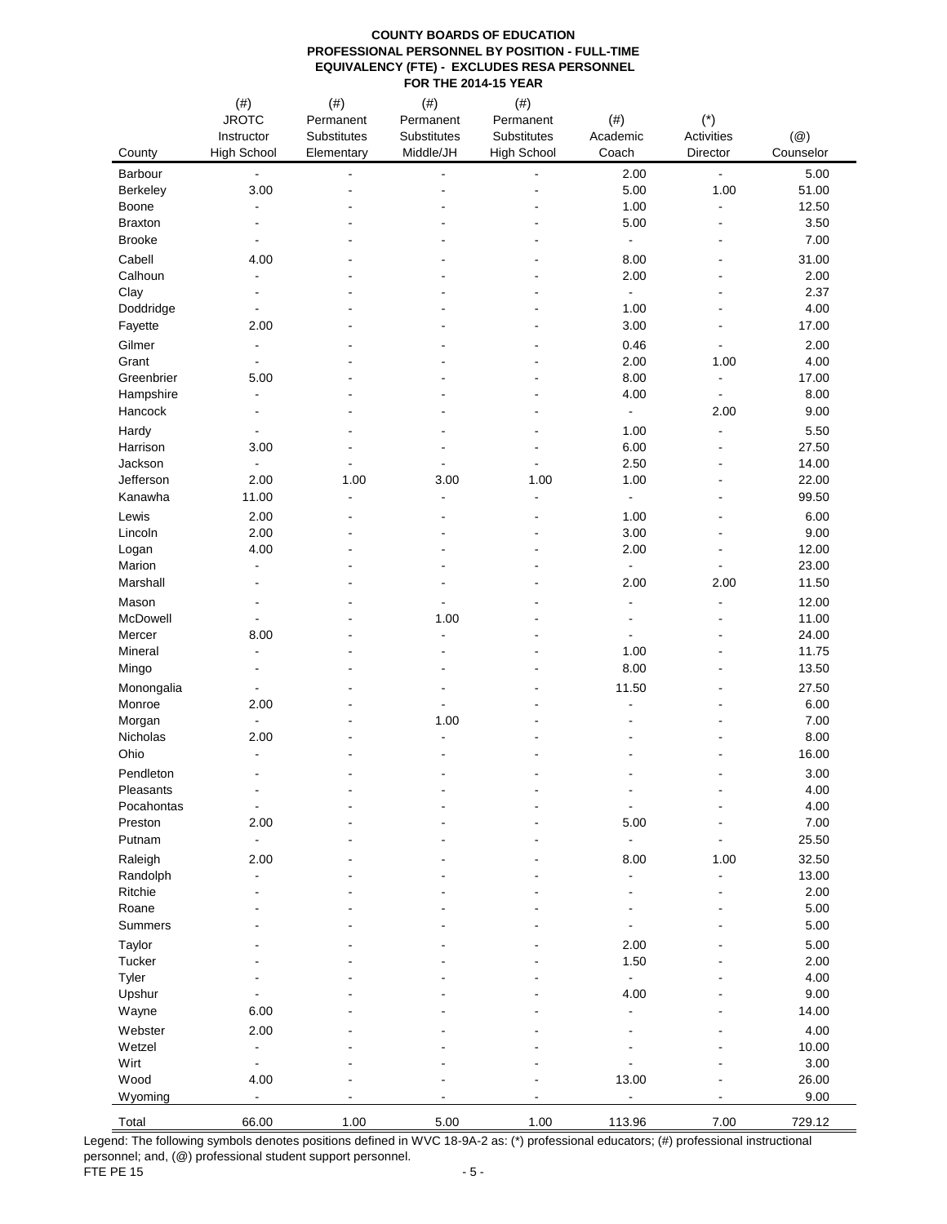|                                 | $(\#)$                                     | $^{(#)}$                 | $^{(#)}$                 | $(\#)$             |                          |                          |               |
|---------------------------------|--------------------------------------------|--------------------------|--------------------------|--------------------|--------------------------|--------------------------|---------------|
|                                 | <b>JROTC</b>                               | Permanent                | Permanent                | Permanent          | $(\#)$                   | $(*)$                    |               |
|                                 | Instructor                                 | Substitutes              | Substitutes              | Substitutes        | Academic                 | Activities               | $(\circleda)$ |
| County                          | <b>High School</b>                         | Elementary               | Middle/JH                | <b>High School</b> | Coach                    | Director                 | Counselor     |
| Barbour                         | $\blacksquare$                             | $\overline{a}$           | $\blacksquare$           |                    | 2.00                     | $\blacksquare$           | 5.00          |
| Berkeley                        | 3.00                                       |                          | $\blacksquare$           |                    | 5.00                     | 1.00                     | 51.00         |
| Boone                           | $\overline{\phantom{a}}$                   |                          |                          |                    | 1.00                     | $\overline{a}$           | 12.50         |
| <b>Braxton</b><br><b>Brooke</b> | $\overline{\phantom{a}}$<br>$\blacksquare$ |                          | $\overline{\phantom{0}}$ |                    | 5.00<br>$\blacksquare$   | $\blacksquare$           | 3.50<br>7.00  |
|                                 |                                            |                          |                          |                    |                          |                          |               |
| Cabell                          | 4.00                                       |                          |                          |                    | 8.00                     |                          | 31.00         |
| Calhoun<br>Clay                 | $\blacksquare$                             |                          |                          |                    | 2.00<br>$\blacksquare$   |                          | 2.00<br>2.37  |
| Doddridge                       | $\overline{\phantom{a}}$                   |                          |                          |                    | 1.00                     |                          | 4.00          |
| Fayette                         | 2.00                                       |                          |                          |                    | 3.00                     | $\blacksquare$           | 17.00         |
| Gilmer                          | $\blacksquare$                             |                          |                          |                    | 0.46                     | $\overline{\phantom{a}}$ | 2.00          |
| Grant                           | $\blacksquare$                             |                          |                          |                    | 2.00                     | 1.00                     | 4.00          |
| Greenbrier                      | 5.00                                       |                          |                          |                    | 8.00                     | $\blacksquare$           | 17.00         |
| Hampshire                       | $\overline{\phantom{a}}$                   |                          |                          |                    | 4.00                     | $\blacksquare$           | 8.00          |
| Hancock                         | $\overline{\phantom{a}}$                   |                          |                          |                    | $\blacksquare$           | 2.00                     | 9.00          |
| Hardy                           |                                            |                          |                          |                    | 1.00                     | $\overline{\phantom{a}}$ | 5.50          |
| Harrison                        | 3.00                                       |                          | $\overline{a}$           |                    | 6.00                     | $\overline{a}$           | 27.50         |
| Jackson                         | $\blacksquare$                             |                          | $\blacksquare$           |                    | 2.50                     | $\blacksquare$           | 14.00         |
| Jefferson                       | 2.00                                       | 1.00                     | 3.00                     | 1.00               | 1.00                     |                          | 22.00         |
| Kanawha                         | 11.00                                      | $\overline{\phantom{a}}$ | $\blacksquare$           |                    | $\blacksquare$           |                          | 99.50         |
| Lewis                           | 2.00                                       |                          |                          |                    | 1.00                     |                          | 6.00          |
| Lincoln                         | 2.00                                       |                          |                          |                    | 3.00                     | L,                       | 9.00          |
| Logan                           | 4.00                                       |                          |                          |                    | 2.00                     | L,                       | 12.00         |
| Marion                          | $\blacksquare$                             |                          | $\blacksquare$           |                    | $\blacksquare$           | $\blacksquare$           | 23.00         |
| Marshall                        | $\overline{\phantom{a}}$                   |                          |                          |                    | 2.00                     | 2.00                     | 11.50         |
| Mason                           | $\blacksquare$                             |                          | $\overline{\phantom{a}}$ |                    | $\blacksquare$           | $\blacksquare$           | 12.00         |
| McDowell                        |                                            |                          | 1.00                     |                    | $\overline{\phantom{0}}$ |                          | 11.00         |
| Mercer                          | 8.00                                       |                          | $\overline{\phantom{a}}$ |                    | $\overline{\phantom{a}}$ |                          | 24.00         |
| Mineral                         | $\overline{\phantom{a}}$                   |                          |                          |                    | 1.00                     |                          | 11.75         |
| Mingo                           | $\blacksquare$                             |                          | $\blacksquare$           |                    | 8.00                     | $\blacksquare$           | 13.50         |
| Monongalia                      | $\overline{\phantom{a}}$                   |                          | $\blacksquare$           |                    | 11.50                    | $\overline{a}$           | 27.50         |
| Monroe                          | 2.00<br>$\blacksquare$                     |                          | 1.00                     |                    |                          |                          | 6.00<br>7.00  |
| Morgan<br>Nicholas              | 2.00                                       |                          | $\blacksquare$           |                    |                          |                          | 8.00          |
| Ohio                            | $\overline{\phantom{a}}$                   |                          |                          |                    |                          |                          | 16.00         |
| Pendleton                       | $\overline{\phantom{a}}$                   |                          |                          |                    |                          |                          | 3.00          |
| Pleasants                       |                                            |                          |                          |                    |                          |                          | 4.00          |
| Pocahontas                      | $\blacksquare$                             |                          |                          |                    | $\overline{\phantom{a}}$ |                          | 4.00          |
| Preston                         | 2.00                                       |                          |                          |                    | 5.00                     |                          | 7.00          |
| Putnam                          | $\blacksquare$                             |                          |                          |                    | $\overline{\phantom{a}}$ |                          | 25.50         |
| Raleigh                         | 2.00                                       |                          |                          |                    | 8.00                     | 1.00                     | 32.50         |
| Randolph                        | $\blacksquare$                             |                          |                          |                    | $\frac{1}{2}$            | $\blacksquare$           | 13.00         |
| Ritchie                         |                                            |                          |                          |                    |                          |                          | 2.00          |
| Roane                           |                                            |                          |                          |                    |                          |                          | 5.00          |
| Summers                         |                                            |                          |                          |                    |                          |                          | 5.00          |
| Taylor                          |                                            |                          |                          |                    | 2.00                     |                          | 5.00          |
| Tucker                          |                                            |                          |                          |                    | 1.50                     |                          | 2.00          |
| Tyler                           |                                            |                          |                          |                    | $\blacksquare$           |                          | 4.00          |
| Upshur                          |                                            |                          |                          |                    | 4.00                     |                          | 9.00          |
| Wayne                           | 6.00                                       |                          |                          |                    |                          |                          | 14.00         |
| Webster                         | 2.00                                       |                          |                          |                    |                          |                          | 4.00          |
| Wetzel                          | $\blacksquare$                             |                          |                          |                    |                          |                          | 10.00         |
| Wirt                            | $\blacksquare$                             |                          |                          |                    |                          |                          | 3.00          |
| Wood                            | 4.00                                       |                          |                          |                    | 13.00                    |                          | 26.00         |
| Wyoming                         | $\blacksquare$                             |                          |                          |                    | $\blacksquare$           |                          | 9.00          |
| Total                           | 66.00                                      | 1.00                     | 5.00                     | 1.00               | 113.96                   | 7.00                     | 729.12        |

Legend: The following symbols denotes positions defined in WVC 18-9A-2 as: (\*) professional educators; (#) professional instructional personnel; and, (@) professional student support personnel. FTE PE 15  $-5$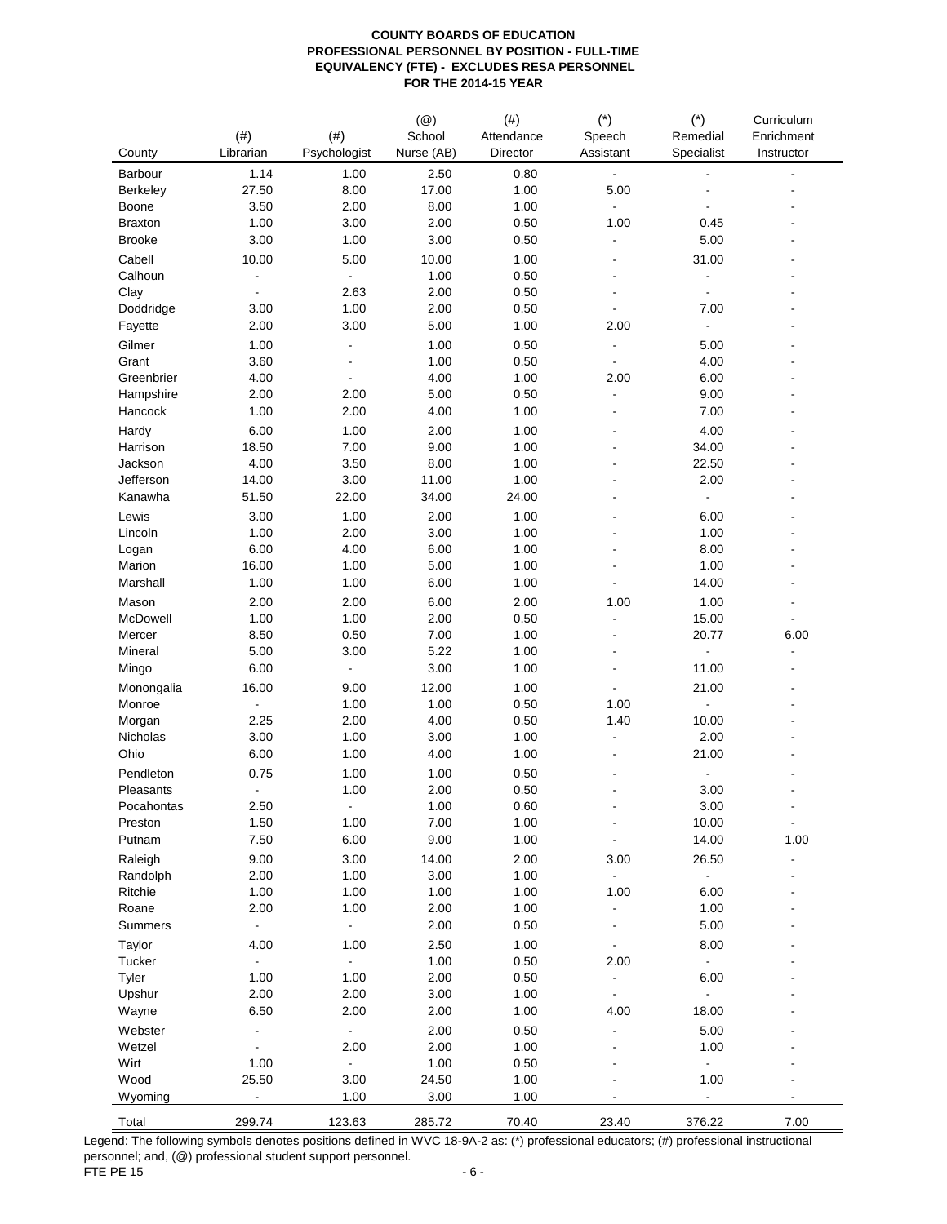| County          | (# )<br>Librarian        | $(\#)$<br>Psychologist | $(\circleda)$<br>School<br>Nurse (AB) | (# )<br>Attendance<br>Director | $(*)$<br>Speech<br>Assistant | $(*)$<br>Remedial<br>Specialist | Curriculum<br>Enrichment<br>Instructor |
|-----------------|--------------------------|------------------------|---------------------------------------|--------------------------------|------------------------------|---------------------------------|----------------------------------------|
| Barbour         | 1.14                     | 1.00                   | 2.50                                  | 0.80                           | L,                           |                                 | $\overline{a}$                         |
| <b>Berkeley</b> | 27.50                    | 8.00                   | 17.00                                 | 1.00                           | 5.00                         |                                 |                                        |
| Boone           | 3.50                     | 2.00                   | 8.00                                  | 1.00                           |                              |                                 |                                        |
| <b>Braxton</b>  | 1.00                     | 3.00                   | 2.00                                  | 0.50                           | 1.00                         | 0.45                            |                                        |
| <b>Brooke</b>   | 3.00                     | 1.00                   | 3.00                                  | 0.50                           | $\overline{a}$               | 5.00                            |                                        |
| Cabell          | 10.00                    | 5.00                   | 10.00                                 | 1.00                           |                              | 31.00                           |                                        |
| Calhoun         |                          | $\frac{1}{2}$          | 1.00                                  | 0.50                           | $\blacksquare$               | $\overline{\phantom{0}}$        |                                        |
| Clay            | $\blacksquare$           | 2.63                   | 2.00                                  | 0.50                           | ٠                            | $\overline{\phantom{a}}$        |                                        |
| Doddridge       | 3.00                     | 1.00                   | 2.00                                  | 0.50                           |                              | 7.00                            |                                        |
| Fayette         | 2.00                     | 3.00                   | 5.00                                  | 1.00                           | 2.00                         | $\blacksquare$                  |                                        |
| Gilmer          | 1.00                     |                        | 1.00                                  | 0.50                           |                              | 5.00                            |                                        |
| Grant           | 3.60                     |                        | 1.00                                  | 0.50                           |                              | 4.00                            |                                        |
| Greenbrier      | 4.00                     | $\overline{a}$         | 4.00                                  | 1.00                           | 2.00                         | 6.00                            |                                        |
| Hampshire       | 2.00                     | 2.00                   | 5.00                                  | 0.50                           | $\overline{a}$               | 9.00                            |                                        |
|                 | 1.00                     | 2.00                   | 4.00                                  | 1.00                           | $\blacksquare$               | 7.00                            |                                        |
| Hancock         |                          |                        |                                       |                                |                              |                                 |                                        |
| Hardy           | 6.00                     | 1.00                   | 2.00                                  | 1.00                           |                              | 4.00                            |                                        |
| Harrison        | 18.50                    | 7.00                   | 9.00                                  | 1.00                           |                              | 34.00                           |                                        |
| Jackson         | 4.00                     | 3.50                   | 8.00                                  | 1.00                           |                              | 22.50                           |                                        |
| Jefferson       | 14.00                    | 3.00                   | 11.00                                 | 1.00                           |                              | 2.00                            |                                        |
| Kanawha         | 51.50                    | 22.00                  | 34.00                                 | 24.00                          |                              | $\blacksquare$                  |                                        |
| Lewis           | 3.00                     | 1.00                   | 2.00                                  | 1.00                           |                              | 6.00                            |                                        |
| Lincoln         | 1.00                     | 2.00                   | 3.00                                  | 1.00                           |                              | 1.00                            |                                        |
| Logan           | 6.00                     | 4.00                   | 6.00                                  | 1.00                           |                              | 8.00                            |                                        |
| Marion          | 16.00                    | 1.00                   | 5.00                                  | 1.00                           |                              | 1.00                            |                                        |
| Marshall        | 1.00                     | 1.00                   | 6.00                                  | 1.00                           |                              | 14.00                           |                                        |
| Mason           | 2.00                     | 2.00                   | 6.00                                  | 2.00                           | 1.00                         | 1.00                            |                                        |
| McDowell        | 1.00                     | 1.00                   | 2.00                                  | 0.50                           | $\overline{a}$               | 15.00                           |                                        |
| Mercer          | 8.50                     | 0.50                   | 7.00                                  | 1.00                           | $\blacksquare$               | 20.77                           | 6.00                                   |
| Mineral         | 5.00                     | 3.00                   | 5.22                                  | 1.00                           | $\blacksquare$               |                                 |                                        |
| Mingo           | 6.00                     | $\frac{1}{2}$          | 3.00                                  | 1.00                           |                              | 11.00                           |                                        |
| Monongalia      | 16.00                    | 9.00                   | 12.00                                 | 1.00                           | ä,                           | 21.00                           |                                        |
| Monroe          | $\overline{\phantom{a}}$ | 1.00                   | 1.00                                  | 0.50                           | 1.00                         | $\frac{1}{2}$                   |                                        |
| Morgan          | 2.25                     | 2.00                   | 4.00                                  | 0.50                           | 1.40                         | 10.00                           |                                        |
| Nicholas        | 3.00                     | 1.00                   | 3.00                                  | 1.00                           | ÷,                           | 2.00                            |                                        |
| Ohio            | 6.00                     | 1.00                   | 4.00                                  | 1.00                           |                              | 21.00                           |                                        |
| Pendleton       | 0.75                     | 1.00                   | 1.00                                  | 0.50                           |                              |                                 |                                        |
| Pleasants       | $\overline{a}$           | 1.00                   | 2.00                                  | 0.50                           |                              | 3.00                            |                                        |
| Pocahontas      | 2.50                     |                        | 1.00                                  | 0.60                           |                              | 3.00                            |                                        |
| Preston         | 1.50                     | 1.00                   | 7.00                                  | 1.00                           | $\qquad \qquad \blacksquare$ | 10.00                           | $\blacksquare$                         |
| Putnam          | 7.50                     | 6.00                   | 9.00                                  | 1.00                           | $\overline{\phantom{a}}$     | 14.00                           | 1.00                                   |
|                 |                          |                        |                                       |                                |                              |                                 |                                        |
| Raleigh         | 9.00                     | 3.00                   | 14.00                                 | 2.00                           | 3.00                         | 26.50                           |                                        |
| Randolph        | 2.00                     | 1.00                   | 3.00                                  | 1.00                           | $\blacksquare$               | $\blacksquare$                  |                                        |
| Ritchie         | 1.00                     | 1.00                   | 1.00                                  | 1.00                           | 1.00                         | 6.00                            |                                        |
| Roane           | 2.00                     | 1.00                   | 2.00                                  | 1.00                           | ÷,                           | 1.00                            |                                        |
| Summers         | $\blacksquare$           | ÷,                     | 2.00                                  | 0.50                           |                              | 5.00                            |                                        |
| Taylor          | 4.00                     | 1.00                   | 2.50                                  | 1.00                           |                              | 8.00                            |                                        |
| Tucker          | $\blacksquare$           | $\blacksquare$         | 1.00                                  | 0.50                           | 2.00                         | $\blacksquare$                  |                                        |
| Tyler           | 1.00                     | 1.00                   | 2.00                                  | 0.50                           | $\blacksquare$               | 6.00                            |                                        |
| Upshur          | 2.00                     | 2.00                   | 3.00                                  | 1.00                           | $\blacksquare$               | ÷,                              |                                        |
| Wayne           | 6.50                     | 2.00                   | 2.00                                  | 1.00                           | 4.00                         | 18.00                           |                                        |
| Webster         |                          | ÷,                     | 2.00                                  | 0.50                           |                              | 5.00                            |                                        |
| Wetzel          |                          | 2.00                   | 2.00                                  | 1.00                           |                              | 1.00                            |                                        |
| Wirt            | 1.00                     | ۰                      | 1.00                                  | 0.50                           |                              | $\Box$                          |                                        |
| Wood            | 25.50                    | 3.00                   | 24.50                                 | 1.00                           |                              | 1.00                            |                                        |
| Wyoming         | $\blacksquare$           | 1.00                   | 3.00                                  | 1.00                           |                              | $\blacksquare$                  |                                        |
| Total           | 299.74                   | 123.63                 | 285.72                                | 70.40                          | 23.40                        | 376.22                          | 7.00                                   |
|                 |                          |                        |                                       |                                |                              |                                 |                                        |

Legend: The following symbols denotes positions defined in WVC 18-9A-2 as: (\*) professional educators; (#) professional instructional personnel; and, (@) professional student support personnel. FTE PE 15  $-6$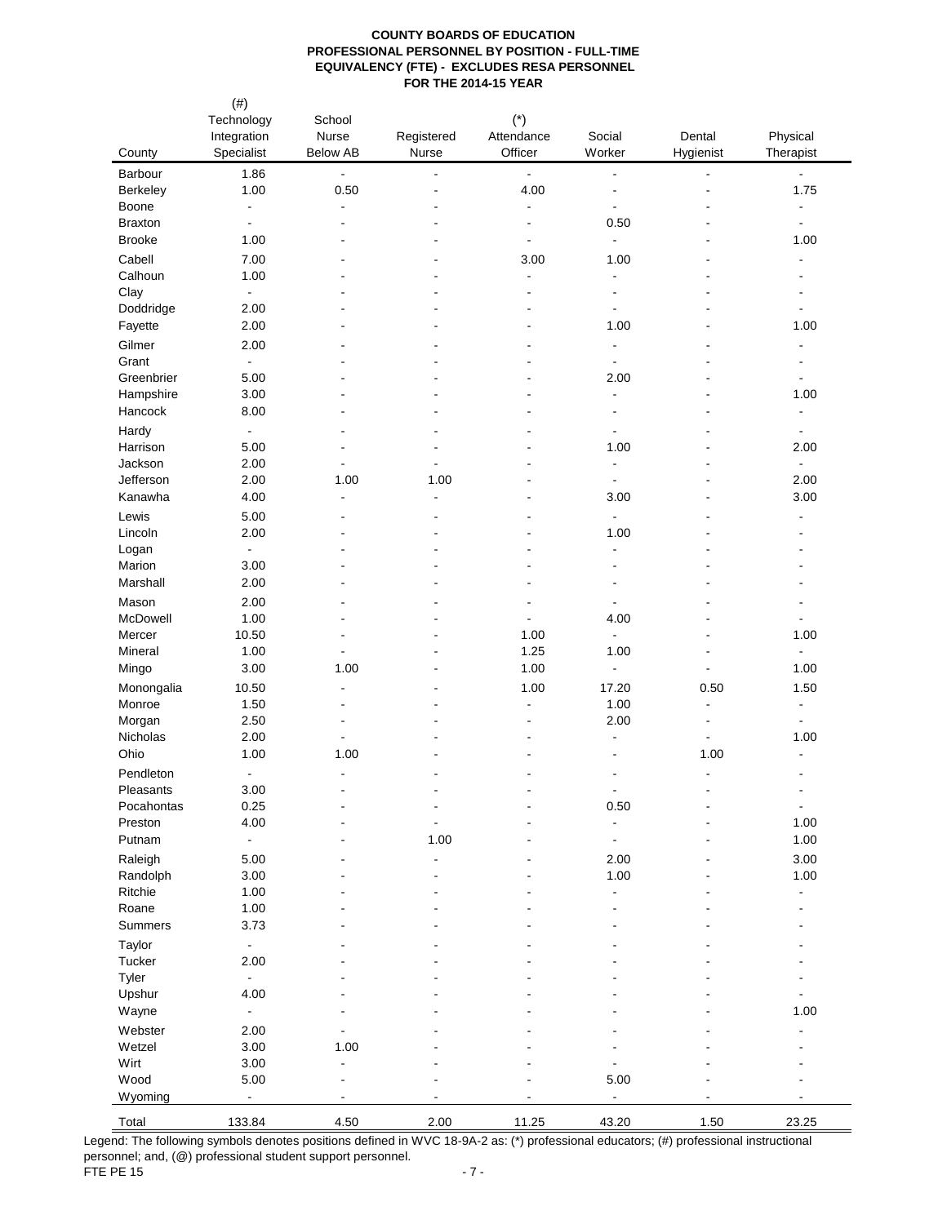| County              | $(\#)$<br>Technology<br>Integration<br>Specialist | School<br>Nurse<br><b>Below AB</b> | Registered<br>Nurse          | $(*)$<br>Attendance<br>Officer             | Social<br>Worker                 | Dental<br>Hygienist                        | Physical<br>Therapist                      |
|---------------------|---------------------------------------------------|------------------------------------|------------------------------|--------------------------------------------|----------------------------------|--------------------------------------------|--------------------------------------------|
| Barbour             | 1.86                                              | $\Box$                             | $\frac{1}{2}$                | $\blacksquare$                             | $\overline{\phantom{a}}$         | ٠                                          | $\blacksquare$                             |
| Berkeley            | 1.00                                              | 0.50                               | $\blacksquare$               | 4.00                                       | $\blacksquare$                   | ٠                                          | 1.75                                       |
| Boone               | $\blacksquare$                                    | $\blacksquare$                     | ٠                            | $\blacksquare$                             | $\blacksquare$                   |                                            | $\blacksquare$                             |
| <b>Braxton</b>      | $\blacksquare$                                    | $\overline{a}$                     | ٠                            | $\blacksquare$                             | 0.50                             |                                            | $\blacksquare$                             |
| <b>Brooke</b>       | 1.00                                              | $\blacksquare$                     | ä,                           | $\blacksquare$                             | $\blacksquare$                   | ۰                                          | 1.00                                       |
| Cabell              | 7.00                                              |                                    |                              | 3.00                                       | 1.00                             |                                            | $\overline{\phantom{a}}$                   |
| Calhoun<br>Clay     | 1.00<br>$\blacksquare$                            |                                    | ٠                            | $\blacksquare$<br>$\overline{\phantom{a}}$ | $\blacksquare$<br>$\blacksquare$ |                                            | $\overline{\phantom{a}}$                   |
| Doddridge           | 2.00                                              |                                    |                              |                                            | $\blacksquare$                   |                                            | $\blacksquare$                             |
| Fayette             | 2.00                                              |                                    |                              |                                            | 1.00                             |                                            | 1.00                                       |
| Gilmer              | 2.00                                              |                                    |                              |                                            | $\blacksquare$                   |                                            |                                            |
| Grant               | $\blacksquare$                                    |                                    |                              |                                            | $\blacksquare$                   |                                            |                                            |
| Greenbrier          | 5.00                                              |                                    |                              |                                            | 2.00                             |                                            | $\blacksquare$                             |
| Hampshire           | 3.00                                              | $\overline{\phantom{a}}$           |                              |                                            | $\blacksquare$                   | ۰                                          | 1.00                                       |
| Hancock             | 8.00                                              |                                    | ä,                           |                                            | $\overline{\phantom{a}}$         |                                            | $\overline{\phantom{a}}$                   |
| Hardy               | $\blacksquare$                                    |                                    |                              |                                            | $\blacksquare$                   |                                            | $\blacksquare$                             |
| Harrison<br>Jackson | 5.00                                              | ä,                                 |                              |                                            | 1.00<br>$\blacksquare$           |                                            | 2.00<br>$\blacksquare$                     |
| Jefferson           | 2.00<br>2.00                                      | 1.00                               | 1.00                         |                                            | $\blacksquare$                   |                                            | 2.00                                       |
| Kanawha             | 4.00                                              | $\blacksquare$                     | $\blacksquare$               |                                            | 3.00                             |                                            | 3.00                                       |
| Lewis               | 5.00                                              |                                    | ÷,                           |                                            | $\blacksquare$                   |                                            |                                            |
| Lincoln             | 2.00                                              |                                    | $\overline{a}$               |                                            | 1.00                             |                                            |                                            |
| Logan               | $\blacksquare$                                    |                                    | ä,                           |                                            | $\blacksquare$                   |                                            |                                            |
| Marion              | 3.00                                              |                                    | ٠                            |                                            | $\overline{\phantom{a}}$         |                                            |                                            |
| Marshall            | 2.00                                              |                                    |                              |                                            | $\overline{\phantom{a}}$         |                                            |                                            |
| Mason               | 2.00                                              | ٠                                  |                              |                                            | $\overline{\phantom{a}}$         |                                            |                                            |
| McDowell            | 1.00                                              |                                    |                              | $\blacksquare$                             | 4.00                             |                                            | $\blacksquare$                             |
| Mercer              | 10.50                                             | ٠                                  |                              | 1.00                                       | $\blacksquare$                   | $\overline{a}$                             | 1.00                                       |
| Mineral             | 1.00                                              | $\overline{\phantom{a}}$           |                              | 1.25                                       | 1.00                             | ÷,                                         | $\blacksquare$                             |
| Mingo               | 3.00                                              | 1.00                               | ٠                            | 1.00                                       | $\blacksquare$                   | $\overline{a}$                             | 1.00                                       |
| Monongalia          | 10.50                                             | $\blacksquare$                     | ٠                            | 1.00                                       | 17.20                            | 0.50                                       | 1.50                                       |
| Monroe<br>Morgan    | 1.50<br>2.50                                      | $\overline{\phantom{a}}$           |                              | $\blacksquare$                             | 1.00<br>2.00                     | $\blacksquare$<br>$\overline{\phantom{a}}$ | $\overline{\phantom{a}}$<br>$\blacksquare$ |
| Nicholas            | 2.00                                              | $\overline{\phantom{a}}$           |                              | $\blacksquare$                             | $\blacksquare$                   | $\overline{a}$                             | 1.00                                       |
| Ohio                | 1.00                                              | 1.00                               |                              |                                            | $\overline{\phantom{a}}$         | 1.00                                       | $\blacksquare$                             |
| Pendleton           | $\overline{\phantom{a}}$                          | $\blacksquare$                     |                              |                                            | $\overline{\phantom{a}}$         | $\qquad \qquad \blacksquare$               | $\blacksquare$                             |
| Pleasants           | 3.00                                              |                                    | ٠                            |                                            |                                  |                                            | $\overline{\phantom{a}}$                   |
| Pocahontas          | 0.25                                              |                                    | $\overline{\phantom{a}}$     |                                            | 0.50                             |                                            | $\blacksquare$                             |
| Preston             | 4.00                                              |                                    | $\blacksquare$               |                                            | $\overline{\phantom{a}}$         |                                            | 1.00                                       |
| Putnam              | $\overline{\phantom{a}}$                          |                                    | 1.00                         |                                            | $\blacksquare$                   |                                            | 1.00                                       |
| Raleigh             | 5.00                                              |                                    | $\qquad \qquad \blacksquare$ |                                            | 2.00                             |                                            | 3.00                                       |
| Randolph            | 3.00                                              |                                    | ÷,                           |                                            | 1.00                             |                                            | 1.00                                       |
| Ritchie<br>Roane    | 1.00<br>1.00                                      |                                    |                              |                                            | $\blacksquare$                   |                                            | $\blacksquare$                             |
| <b>Summers</b>      | 3.73                                              |                                    |                              |                                            |                                  |                                            |                                            |
| Taylor              | $\blacksquare$                                    |                                    |                              |                                            |                                  |                                            |                                            |
| Tucker              | 2.00                                              |                                    |                              |                                            |                                  |                                            |                                            |
| Tyler               | $\blacksquare$                                    |                                    |                              |                                            |                                  |                                            |                                            |
| Upshur              | 4.00                                              |                                    |                              |                                            |                                  |                                            |                                            |
| Wayne               | $\blacksquare$                                    |                                    |                              |                                            |                                  |                                            | 1.00                                       |
| Webster             | 2.00                                              |                                    |                              |                                            |                                  |                                            |                                            |
| Wetzel              | 3.00                                              | 1.00                               |                              |                                            |                                  |                                            |                                            |
| Wirt                | 3.00                                              | $\blacksquare$                     |                              |                                            |                                  |                                            |                                            |
| Wood                | 5.00                                              | $\blacksquare$                     |                              |                                            | 5.00                             |                                            |                                            |
| Wyoming             | $\overline{a}$                                    |                                    |                              |                                            | $\blacksquare$                   |                                            |                                            |
| Total               | 133.84                                            | 4.50                               | 2.00                         | 11.25                                      | 43.20                            | 1.50                                       | 23.25                                      |

Legend: The following symbols denotes positions defined in WVC 18-9A-2 as: (\*) professional educators; (#) professional instructional personnel; and, (@) professional student support personnel. FTE PE 15  $-7 -$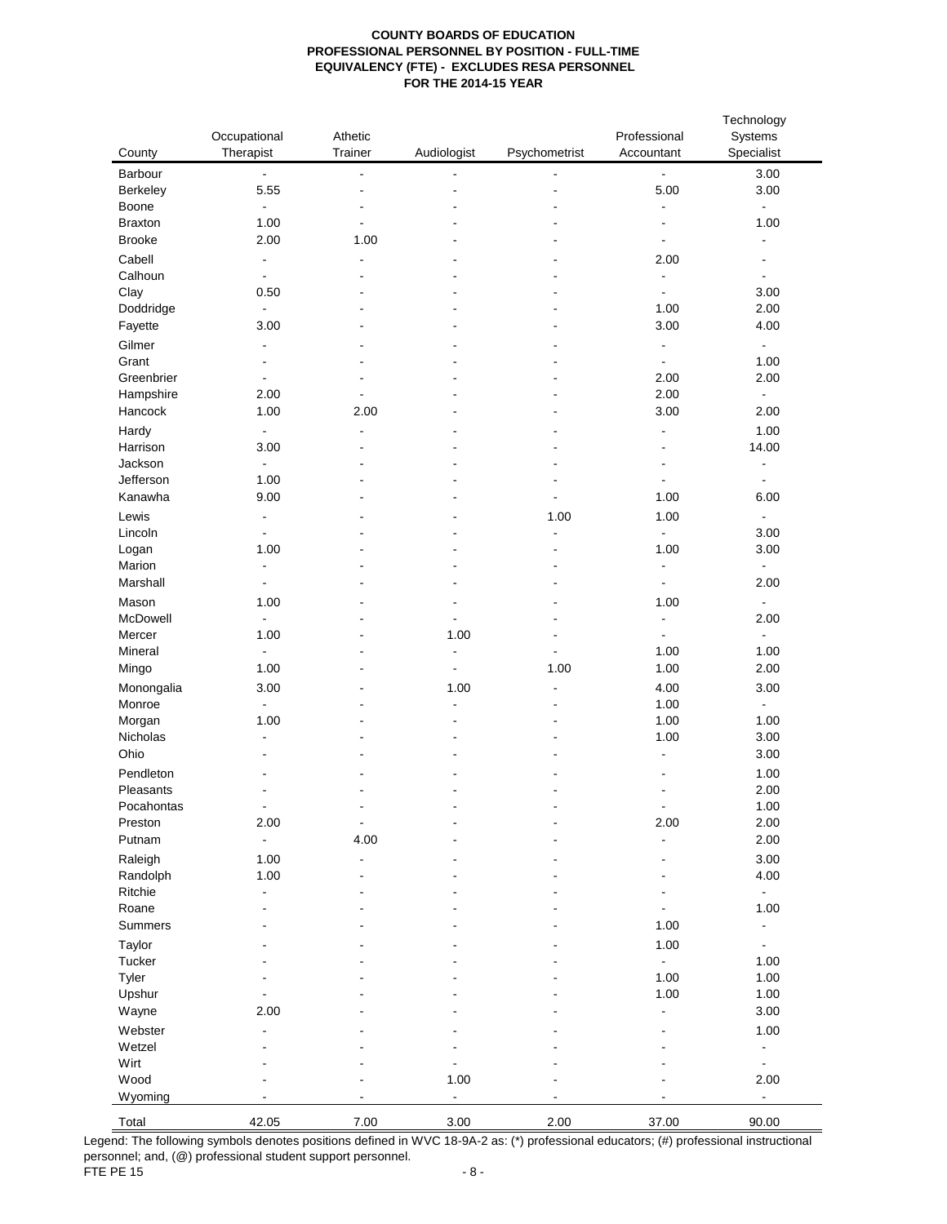| County         | Occupational<br>Therapist | Athetic<br>Trainer | Audiologist              | Psychometrist                | Professional<br>Accountant | Technology<br>Systems<br>Specialist |
|----------------|---------------------------|--------------------|--------------------------|------------------------------|----------------------------|-------------------------------------|
| Barbour        | $\blacksquare$            | $\blacksquare$     | $\blacksquare$           |                              | $\blacksquare$             | 3.00                                |
| Berkeley       | 5.55                      | $\blacksquare$     |                          |                              | 5.00                       | 3.00                                |
| Boone          | $\blacksquare$            |                    |                          |                              | $\blacksquare$             | $\Box$                              |
| <b>Braxton</b> | 1.00                      | $\overline{a}$     |                          |                              | $\overline{\phantom{a}}$   | 1.00                                |
| <b>Brooke</b>  | 2.00                      | 1.00               |                          |                              | $\blacksquare$             | $\blacksquare$                      |
| Cabell         | $\blacksquare$            | ۰                  |                          |                              | 2.00                       | $\overline{\phantom{a}}$            |
| Calhoun        | $\blacksquare$            |                    |                          |                              | $\blacksquare$             | $\blacksquare$                      |
| Clay           | 0.50                      |                    |                          |                              | $\blacksquare$             | 3.00                                |
| Doddridge      | $\blacksquare$            |                    |                          |                              | 1.00                       | 2.00                                |
| Fayette        | 3.00                      |                    |                          |                              | 3.00                       | 4.00                                |
| Gilmer         | $\overline{\phantom{a}}$  |                    |                          |                              | $\blacksquare$             | $\blacksquare$                      |
| Grant          | $\overline{\phantom{a}}$  |                    |                          |                              | $\blacksquare$             | 1.00                                |
| Greenbrier     | $\overline{\phantom{a}}$  |                    |                          |                              | 2.00                       | 2.00                                |
| Hampshire      | 2.00                      | $\blacksquare$     |                          |                              | 2.00                       | $\blacksquare$                      |
| Hancock        | 1.00                      | 2.00               |                          |                              | 3.00                       | 2.00                                |
| Hardy          | $\blacksquare$            | ä,                 |                          |                              | $\overline{\phantom{a}}$   | 1.00                                |
| Harrison       | 3.00                      | ۰                  |                          |                              | $\blacksquare$             | 14.00                               |
| Jackson        | $\blacksquare$            |                    |                          |                              | $\overline{\phantom{a}}$   | $\overline{\phantom{a}}$            |
| Jefferson      | 1.00                      |                    |                          |                              | $\blacksquare$             | $\blacksquare$                      |
| Kanawha        | 9.00                      |                    |                          |                              | 1.00                       | 6.00                                |
| Lewis          | $\blacksquare$            |                    |                          | 1.00                         | 1.00                       | $\blacksquare$                      |
| Lincoln        | $\overline{a}$            |                    |                          | $\blacksquare$               | $\blacksquare$             | 3.00                                |
| Logan          | 1.00                      |                    |                          | ٠                            | 1.00                       | 3.00                                |
| Marion         | $\blacksquare$            |                    |                          |                              | $\blacksquare$             | $\blacksquare$                      |
| Marshall       | $\overline{\phantom{a}}$  |                    |                          |                              | $\blacksquare$             | 2.00                                |
| Mason          | 1.00                      |                    |                          |                              | 1.00                       | $\blacksquare$                      |
| McDowell       | $\blacksquare$            |                    |                          |                              | $\blacksquare$             | 2.00                                |
| Mercer         | 1.00                      |                    | 1.00                     |                              | $\blacksquare$             | $\blacksquare$                      |
| Mineral        | $\blacksquare$            |                    | $\blacksquare$           |                              | 1.00                       | 1.00                                |
| Mingo          | 1.00                      |                    | $\overline{\phantom{a}}$ | 1.00                         | 1.00                       | 2.00                                |
| Monongalia     | 3.00                      |                    | 1.00                     | $\qquad \qquad \blacksquare$ | 4.00                       | 3.00                                |
| Monroe         | $\blacksquare$            |                    | $\blacksquare$           |                              | 1.00                       | $\blacksquare$                      |
| Morgan         | 1.00                      |                    |                          |                              | 1.00                       | 1.00                                |
| Nicholas       | $\overline{\phantom{a}}$  |                    |                          |                              | 1.00                       | 3.00                                |
| Ohio           |                           |                    |                          |                              | $\blacksquare$             | 3.00                                |
| Pendleton      |                           |                    |                          |                              | $\overline{\phantom{a}}$   | 1.00                                |
| Pleasants      | $\overline{\phantom{a}}$  |                    |                          |                              | $\overline{\phantom{a}}$   | 2.00                                |
| Pocahontas     | $\blacksquare$            | -                  |                          |                              | $\blacksquare$             | 1.00                                |
| Preston        | 2.00                      | ٠                  |                          |                              | 2.00                       | 2.00                                |
| Putnam         | $\blacksquare$            | 4.00               |                          |                              |                            | 2.00                                |
| Raleigh        | 1.00                      |                    |                          |                              |                            | 3.00                                |
| Randolph       | 1.00                      |                    |                          |                              |                            | 4.00                                |
| Ritchie        | $\overline{\phantom{a}}$  |                    |                          |                              |                            | $\Box$                              |
| Roane          |                           |                    |                          |                              |                            | 1.00                                |
| Summers        |                           |                    |                          |                              | 1.00                       | $\blacksquare$                      |
| Taylor         |                           |                    |                          |                              | 1.00                       | $\blacksquare$                      |
| Tucker         |                           |                    |                          |                              | $\blacksquare$             | 1.00                                |
| Tyler          |                           |                    |                          |                              | 1.00                       | 1.00                                |
| Upshur         |                           |                    |                          |                              | 1.00                       | 1.00                                |
| Wayne          | 2.00                      |                    |                          |                              | $\blacksquare$             | 3.00                                |
| Webster        | ÷,                        |                    |                          |                              |                            | 1.00                                |
| Wetzel         |                           |                    |                          |                              |                            | $\overline{\phantom{a}}$            |
| Wirt           |                           |                    |                          |                              |                            | $\blacksquare$                      |
| Wood           |                           |                    | 1.00                     |                              |                            | 2.00                                |
| Wyoming        | ÷.                        | $\blacksquare$     | $\blacksquare$           |                              |                            | $\blacksquare$                      |
|                |                           |                    |                          |                              |                            |                                     |
| Total          | 42.05                     | 7.00               | 3.00                     | 2.00                         | 37.00                      | 90.00                               |

Legend: The following symbols denotes positions defined in WVC 18-9A-2 as: (\*) professional educators; (#) professional instructional personnel; and, (@) professional student support personnel. FTE PE 15  $-8$